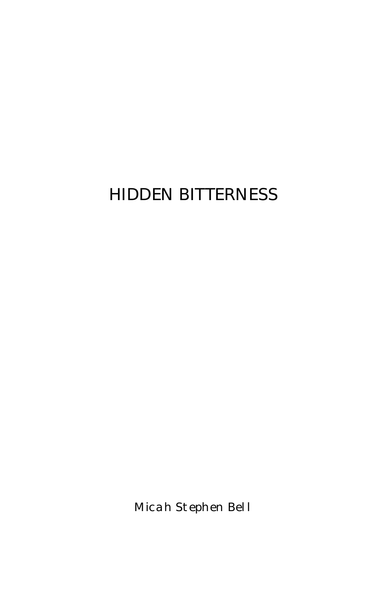# HIDDEN BITTERNESS

Micah Stephen Bell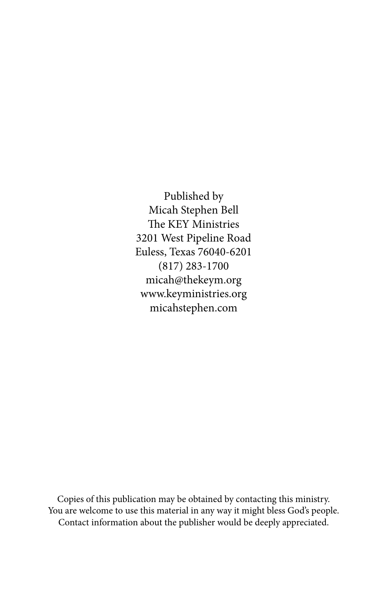Published by Micah Stephen Bell The KEY Ministries 3201 West Pipeline Road Euless, Texas 76040-6201 (817) 283-1700 micah@thekeym.org www.keyministries.org micahstephen.com

Copies of this publication may be obtained by contacting this ministry. You are welcome to use this material in any way it might bless God's people. Contact information about the publisher would be deeply appreciated.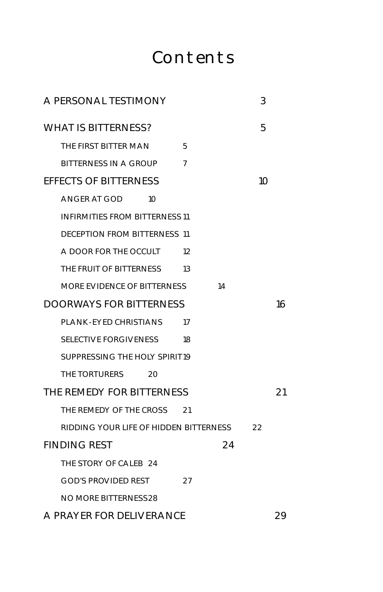# Contents

| A PERSONAL TESTIMONY                   |                | 3  |    |
|----------------------------------------|----------------|----|----|
| <b>WHAT IS BITTERNESS?</b>             |                | 5  |    |
| THE FIRST BITTER MAN                   | 5              |    |    |
| <b>BITTERNESS IN A GROUP</b>           | $\overline{7}$ |    |    |
| <b>EFFECTS OF BITTERNESS</b>           |                | 10 |    |
| ANGER AT GOD<br>1 <sup>O</sup>         |                |    |    |
| <b>INFIRMITIES FROM BITTERNESS 11</b>  |                |    |    |
| DECEPTION FROM BITTERNESS 11           |                |    |    |
| A DOOR FOR THE OCCULT                  | 12             |    |    |
| THE FRUIT OF BITTERNESS                | 13             |    |    |
| MORE EVIDENCE OF BITTERNESS            | 14             |    |    |
| <b>DOORWAYS FOR BITTERNESS</b>         |                |    | 16 |
| PLANK-EYED CHRISTIANS                  | 17             |    |    |
| SELECTIVE FORGIVENESS                  | 18             |    |    |
| SUPPRESSING THE HOLY SPIRIT19          |                |    |    |
| THE TORTURERS<br>20                    |                |    |    |
| THE REMEDY FOR BITTERNESS              |                |    | 21 |
| THE REMEDY OF THE CROSS 21             |                |    |    |
| RIDDING YOUR LIFE OF HIDDEN BITTERNESS |                | 22 |    |
| <b>FINDING REST</b>                    | 24             |    |    |
| THE STORY OF CALEB 24                  |                |    |    |
| GOD'S PROVIDED REST                    | 27             |    |    |
| NO MORE BITTERNESS28                   |                |    |    |
| A PRAYER FOR DELIVERANCE               |                |    | 29 |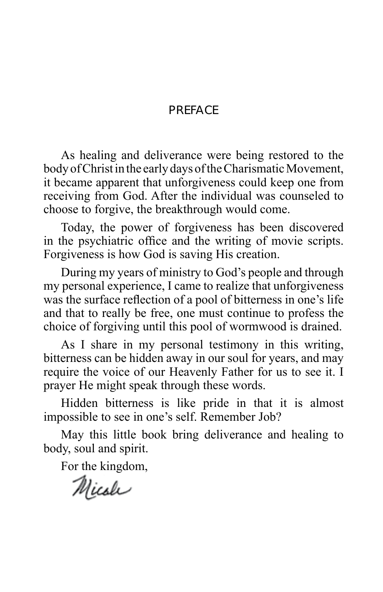### **PRFFACE**

As healing and deliverance were being restored to the body of Christ in the early days of the Charismatic Movement, it became apparent that unforgiveness could keep one from receiving from God. After the individual was counseled to choose to forgive, the breakthrough would come.

Today, the power of forgiveness has been discovered in the psychiatric office and the writing of movie scripts. Forgiveness is how God is saving His creation.

During my years of ministry to God's people and through my personal experience, I came to realize that unforgiveness was the surface reflection of a pool of bitterness in one's life and that to really be free, one must continue to profess the choice of forgiving until this pool of wormwood is drained.

As I share in my personal testimony in this writing, bitterness can be hidden away in our soul for years, and may require the voice of our Heavenly Father for us to see it. I prayer He might speak through these words.

Hidden bitterness is like pride in that it is almost impossible to see in one's self. Remember Job?

May this little book bring deliverance and healing to body, soul and spirit.

For the kingdom,

Micole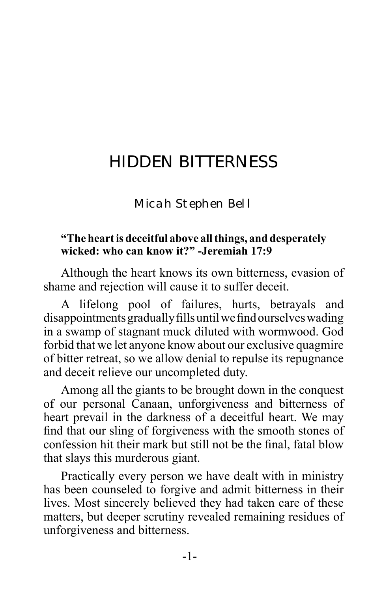# HIDDEN BITTERNESS

Micah Stephen Bell

#### **"The heart is deceitful above all things, and desperately wicked: who can know it?" -Jeremiah 17:9**

Although the heart knows its own bitterness, evasion of shame and rejection will cause it to suffer deceit.

A lifelong pool of failures, hurts, betrayals and disappointments gradually fills until we find ourselves wading in a swamp of stagnant muck diluted with wormwood. God forbid that we let anyone know about our exclusive quagmire of bitter retreat, so we allow denial to repulse its repugnance and deceit relieve our uncompleted duty.

Among all the giants to be brought down in the conquest of our personal Canaan, unforgiveness and bitterness of heart prevail in the darkness of a deceitful heart. We may find that our sling of forgiveness with the smooth stones of confession hit their mark but still not be the final, fatal blow that slays this murderous giant.

Practically every person we have dealt with in ministry has been counseled to forgive and admit bitterness in their lives. Most sincerely believed they had taken care of these matters, but deeper scrutiny revealed remaining residues of unforgiveness and bitterness.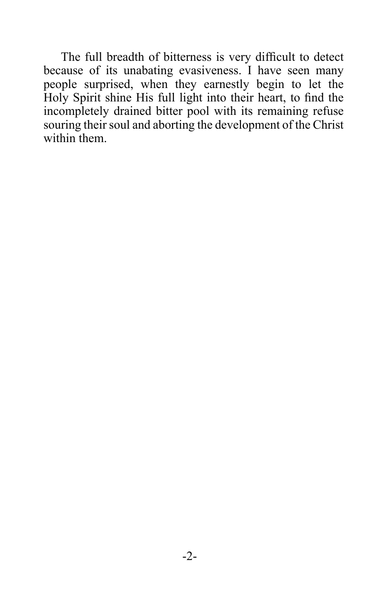The full breadth of bitterness is very difficult to detect because of its unabating evasiveness. I have seen many people surprised, when they earnestly begin to let the Holy Spirit shine His full light into their heart, to find the incompletely drained bitter pool with its remaining refuse souring their soul and aborting the development of the Christ within them.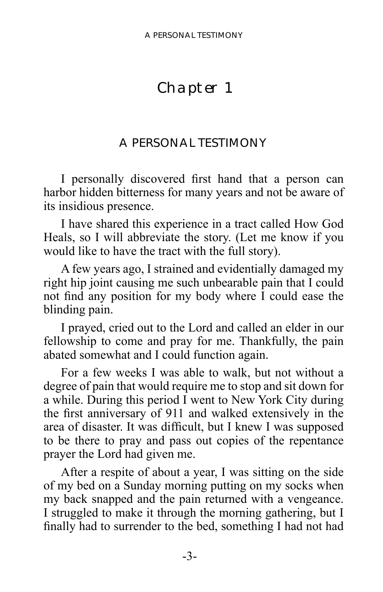## <span id="page-6-0"></span>Chapter 1

## A PERSONAL TESTIMONY

I personally discovered first hand that a person can harbor hidden bitterness for many years and not be aware of its insidious presence.

I have shared this experience in a tract called How God Heals, so I will abbreviate the story. (Let me know if you would like to have the tract with the full story).

A few years ago, I strained and evidentially damaged my right hip joint causing me such unbearable pain that I could not find any position for my body where I could ease the blinding pain.

I prayed, cried out to the Lord and called an elder in our fellowship to come and pray for me. Thankfully, the pain abated somewhat and I could function again.

For a few weeks I was able to walk, but not without a degree of pain that would require me to stop and sit down for a while. During this period I went to New York City during the first anniversary of 911 and walked extensively in the area of disaster. It was difficult, but I knew I was supposed to be there to pray and pass out copies of the repentance prayer the Lord had given me.

After a respite of about a year, I was sitting on the side of my bed on a Sunday morning putting on my socks when my back snapped and the pain returned with a vengeance. I struggled to make it through the morning gathering, but I finally had to surrender to the bed, something I had not had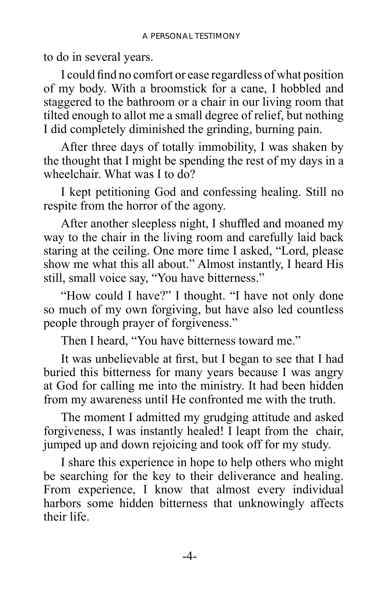to do in several years.

I could find no comfort or ease regardless of what position of my body. With a broomstick for a cane, I hobbled and staggered to the bathroom or a chair in our living room that tilted enough to allot me a small degree of relief, but nothing I did completely diminished the grinding, burning pain.

After three days of totally immobility, I was shaken by the thought that I might be spending the rest of my days in a wheelchair. What was I to do?

I kept petitioning God and confessing healing. Still no respite from the horror of the agony.

After another sleepless night, I shuffled and moaned my way to the chair in the living room and carefully laid back staring at the ceiling. One more time I asked, "Lord, please show me what this all about." Almost instantly, I heard His still, small voice say, "You have bitterness."

"How could I have?" I thought. "I have not only done so much of my own forgiving, but have also led countless people through prayer of forgiveness."

Then I heard, "You have bitterness toward me."

It was unbelievable at first, but I began to see that I had buried this bitterness for many years because I was angry at God for calling me into the ministry. It had been hidden from my awareness until He confronted me with the truth.

The moment I admitted my grudging attitude and asked forgiveness, I was instantly healed! I leapt from the chair, jumped up and down rejoicing and took off for my study.

I share this experience in hope to help others who might be searching for the key to their deliverance and healing. From experience, I know that almost every individual harbors some hidden bitterness that unknowingly affects their life.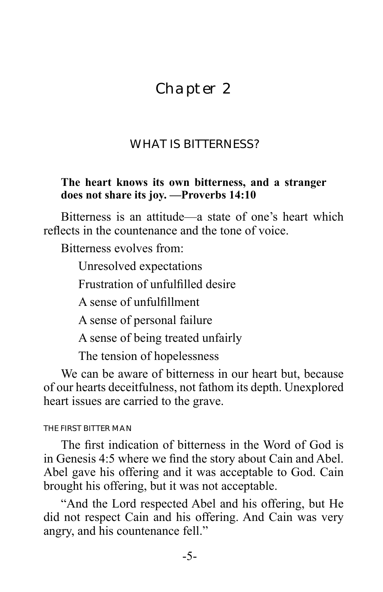## <span id="page-8-0"></span>Chapter 2

## WHAT IS BITTERNESS?

#### **The heart knows its own bitterness, and a stranger does not share its joy. —Proverbs 14:10**

Bitterness is an attitude—a state of one's heart which reflects in the countenance and the tone of voice.

Bitterness evolves from:

Unresolved expectations

Frustration of unfulfilled desire

A sense of unfulfillment

A sense of personal failure

A sense of being treated unfairly

The tension of hopelessness

We can be aware of bitterness in our heart but, because of our hearts deceitfulness, not fathom its depth. Unexplored heart issues are carried to the grave.

#### THE FIRST BITTER MAN

The first indication of bitterness in the Word of God is in Genesis 4:5 where we find the story about Cain and Abel. Abel gave his offering and it was acceptable to God. Cain brought his offering, but it was not acceptable.

"And the Lord respected Abel and his offering, but He did not respect Cain and his offering. And Cain was very angry, and his countenance fell."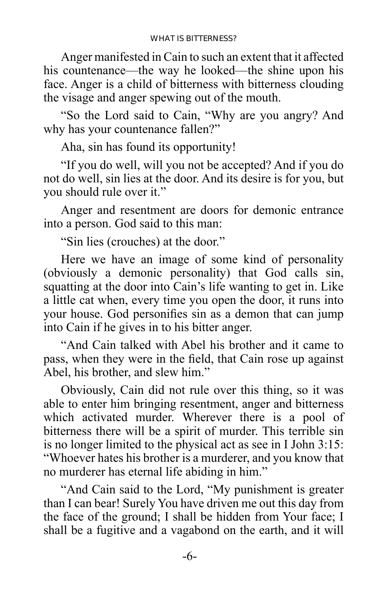Anger manifested in Cain to such an extent that it affected his countenance—the way he looked—the shine upon his face. Anger is a child of bitterness with bitterness clouding the visage and anger spewing out of the mouth.

"So the Lord said to Cain, "Why are you angry? And why has your countenance fallen?"

Aha, sin has found its opportunity!

"If you do well, will you not be accepted? And if you do not do well, sin lies at the door. And its desire is for you, but you should rule over it."

Anger and resentment are doors for demonic entrance into a person. God said to this man:

"Sin lies (crouches) at the door."

Here we have an image of some kind of personality (obviously a demonic personality) that God calls sin, squatting at the door into Cain's life wanting to get in. Like a little cat when, every time you open the door, it runs into your house. God personifies sin as a demon that can jump into Cain if he gives in to his bitter anger.

"And Cain talked with Abel his brother and it came to pass, when they were in the field, that Cain rose up against Abel, his brother, and slew him."

Obviously, Cain did not rule over this thing, so it was able to enter him bringing resentment, anger and bitterness which activated murder. Wherever there is a pool of bitterness there will be a spirit of murder. This terrible sin is no longer limited to the physical act as see in I John 3:15: "Whoever hates his brother is a murderer, and you know that no murderer has eternal life abiding in him."

"And Cain said to the Lord, "My punishment is greater than I can bear! Surely You have driven me out this day from the face of the ground; I shall be hidden from Your face; I shall be a fugitive and a vagabond on the earth, and it will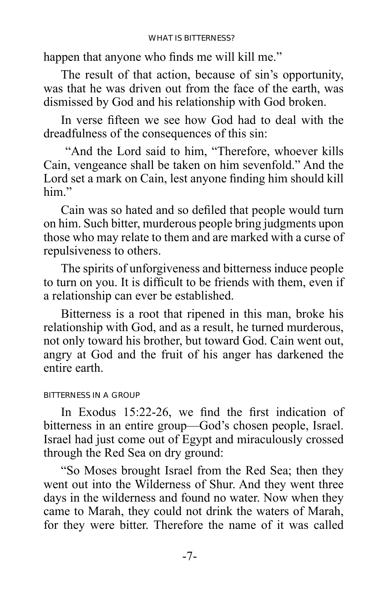<span id="page-10-0"></span>happen that anyone who finds me will kill me."

The result of that action, because of sin's opportunity, was that he was driven out from the face of the earth, was dismissed by God and his relationship with God broken.

In verse fifteen we see how God had to deal with the dreadfulness of the consequences of this sin:

 "And the Lord said to him, "Therefore, whoever kills Cain, vengeance shall be taken on him sevenfold." And the Lord set a mark on Cain, lest anyone finding him should kill him"

Cain was so hated and so defiled that people would turn on him. Such bitter, murderous people bring judgments upon those who may relate to them and are marked with a curse of repulsiveness to others.

The spirits of unforgiveness and bitterness induce people to turn on you. It is difficult to be friends with them, even if a relationship can ever be established.

Bitterness is a root that ripened in this man, broke his relationship with God, and as a result, he turned murderous, not only toward his brother, but toward God. Cain went out, angry at God and the fruit of his anger has darkened the entire earth.

#### BITTERNESS IN A GROUP

In Exodus 15:22-26, we find the first indication of bitterness in an entire group—God's chosen people, Israel. Israel had just come out of Egypt and miraculously crossed through the Red Sea on dry ground:

"So Moses brought Israel from the Red Sea; then they went out into the Wilderness of Shur. And they went three days in the wilderness and found no water. Now when they came to Marah, they could not drink the waters of Marah, for they were bitter. Therefore the name of it was called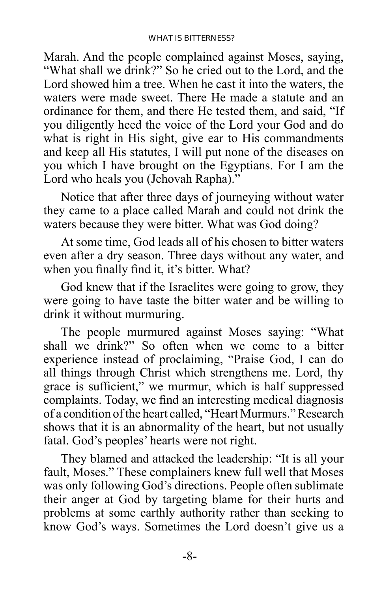Marah. And the people complained against Moses, saying, "What shall we drink?" So he cried out to the Lord, and the Lord showed him a tree. When he cast it into the waters, the waters were made sweet. There He made a statute and an ordinance for them, and there He tested them, and said, "If you diligently heed the voice of the Lord your God and do what is right in His sight, give ear to His commandments and keep all His statutes, I will put none of the diseases on you which I have brought on the Egyptians. For I am the Lord who heals you (Jehovah Rapha)."

Notice that after three days of journeying without water they came to a place called Marah and could not drink the waters because they were bitter. What was God doing?

At some time, God leads all of his chosen to bitter waters even after a dry season. Three days without any water, and when you finally find it, it's bitter. What?

God knew that if the Israelites were going to grow, they were going to have taste the bitter water and be willing to drink it without murmuring.

The people murmured against Moses saying: "What shall we drink?" So often when we come to a bitter experience instead of proclaiming, "Praise God, I can do all things through Christ which strengthens me. Lord, thy grace is sufficient," we murmur, which is half suppressed complaints. Today, we find an interesting medical diagnosis of a condition of the heart called, "Heart Murmurs." Research shows that it is an abnormality of the heart, but not usually fatal. God's peoples' hearts were not right.

They blamed and attacked the leadership: "It is all your fault, Moses." These complainers knew full well that Moses was only following God's directions. People often sublimate their anger at God by targeting blame for their hurts and problems at some earthly authority rather than seeking to know God's ways. Sometimes the Lord doesn't give us a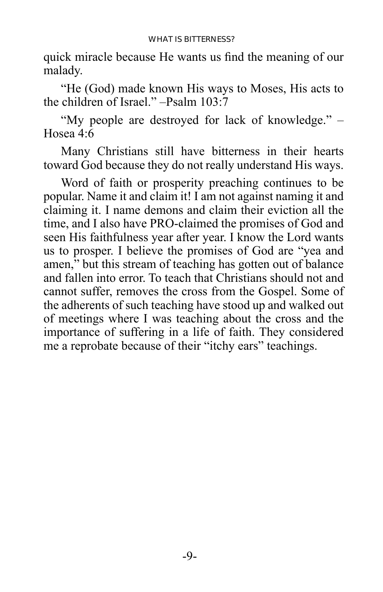quick miracle because He wants us find the meaning of our malady.

"He (God) made known His ways to Moses, His acts to the children of Israel." –Psalm 103:7

"My people are destroyed for lack of knowledge." – Hosea 4:6

Many Christians still have bitterness in their hearts toward God because they do not really understand His ways.

Word of faith or prosperity preaching continues to be popular. Name it and claim it! I am not against naming it and claiming it. I name demons and claim their eviction all the time, and I also have PRO-claimed the promises of God and seen His faithfulness year after year. I know the Lord wants us to prosper. I believe the promises of God are "yea and amen," but this stream of teaching has gotten out of balance and fallen into error. To teach that Christians should not and cannot suffer, removes the cross from the Gospel. Some of the adherents of such teaching have stood up and walked out of meetings where I was teaching about the cross and the importance of suffering in a life of faith. They considered me a reprobate because of their "itchy ears" teachings.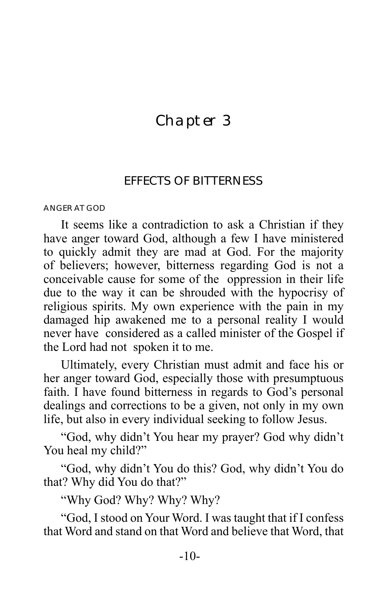## <span id="page-13-0"></span>Chapter 3

### EFFECTS OF BITTERNESS

ANGER AT GOD

It seems like a contradiction to ask a Christian if they have anger toward God, although a few I have ministered to quickly admit they are mad at God. For the majority of believers; however, bitterness regarding God is not a conceivable cause for some of the oppression in their life due to the way it can be shrouded with the hypocrisy of religious spirits. My own experience with the pain in my damaged hip awakened me to a personal reality I would never have considered as a called minister of the Gospel if the Lord had not spoken it to me.

Ultimately, every Christian must admit and face his or her anger toward God, especially those with presumptuous faith. I have found bitterness in regards to God's personal dealings and corrections to be a given, not only in my own life, but also in every individual seeking to follow Jesus.

"God, why didn't You hear my prayer? God why didn't You heal my child?"

"God, why didn't You do this? God, why didn't You do that? Why did You do that?"

"Why God? Why? Why? Why?

"God, I stood on Your Word. I was taught that if I confess that Word and stand on that Word and believe that Word, that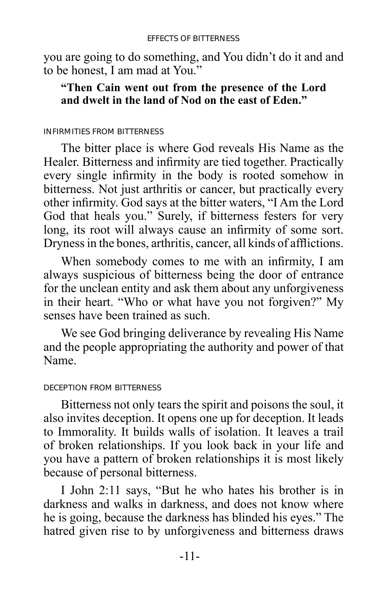<span id="page-14-0"></span>you are going to do something, and You didn't do it and and to be honest, I am mad at You."

### **"Then Cain went out from the presence of the Lord and dwelt in the land of Nod on the east of Eden."**

#### INFIRMITIES FROM BITTERNESS

The bitter place is where God reveals His Name as the Healer. Bitterness and infirmity are tied together. Practically every single infirmity in the body is rooted somehow in bitterness. Not just arthritis or cancer, but practically every other infirmity. God says at the bitter waters, "I Am the Lord God that heals you." Surely, if bitterness festers for very long, its root will always cause an infirmity of some sort. Dryness in the bones, arthritis, cancer, all kinds of afflictions.

When somebody comes to me with an infirmity, I am always suspicious of bitterness being the door of entrance for the unclean entity and ask them about any unforgiveness in their heart. "Who or what have you not forgiven?" My senses have been trained as such.

We see God bringing deliverance by revealing His Name and the people appropriating the authority and power of that Name.

#### DECEPTION FROM BITTERNESS

Bitterness not only tears the spirit and poisons the soul, it also invites deception. It opens one up for deception. It leads to Immorality. It builds walls of isolation. It leaves a trail of broken relationships. If you look back in your life and you have a pattern of broken relationships it is most likely because of personal bitterness.

I John 2:11 says, "But he who hates his brother is in darkness and walks in darkness, and does not know where he is going, because the darkness has blinded his eyes." The hatred given rise to by unforgiveness and bitterness draws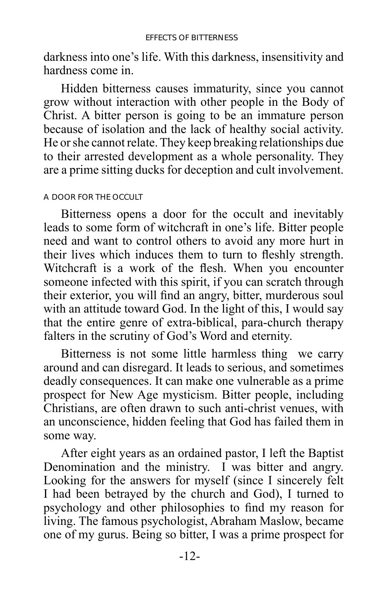<span id="page-15-0"></span>darkness into one's life. With this darkness, insensitivity and hardness come in.

Hidden bitterness causes immaturity, since you cannot grow without interaction with other people in the Body of Christ. A bitter person is going to be an immature person because of isolation and the lack of healthy social activity. He or she cannot relate. They keep breaking relationships due to their arrested development as a whole personality. They are a prime sitting ducks for deception and cult involvement.

#### A DOOR FOR THE OCCULT

Bitterness opens a door for the occult and inevitably leads to some form of witchcraft in one's life. Bitter people need and want to control others to avoid any more hurt in their lives which induces them to turn to fleshly strength. Witchcraft is a work of the flesh. When you encounter someone infected with this spirit, if you can scratch through their exterior, you will find an angry, bitter, murderous soul with an attitude toward God. In the light of this, I would say that the entire genre of extra-biblical, para-church therapy falters in the scrutiny of God's Word and eternity.

Bitterness is not some little harmless thing we carry around and can disregard. It leads to serious, and sometimes deadly consequences. It can make one vulnerable as a prime prospect for New Age mysticism. Bitter people, including Christians, are often drawn to such anti-christ venues, with an unconscience, hidden feeling that God has failed them in some way.

After eight years as an ordained pastor, I left the Baptist Denomination and the ministry. I was bitter and angry. Looking for the answers for myself (since I sincerely felt I had been betrayed by the church and God), I turned to psychology and other philosophies to find my reason for living. The famous psychologist, Abraham Maslow, became one of my gurus. Being so bitter, I was a prime prospect for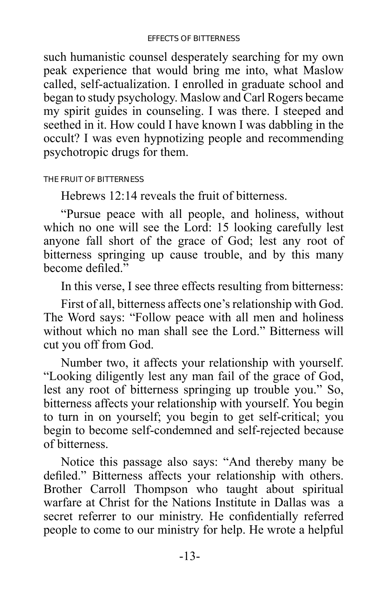<span id="page-16-0"></span>such humanistic counsel desperately searching for my own peak experience that would bring me into, what Maslow called, self-actualization. I enrolled in graduate school and began to study psychology. Maslow and Carl Rogers became my spirit guides in counseling. I was there. I steeped and seethed in it. How could I have known I was dabbling in the occult? I was even hypnotizing people and recommending psychotropic drugs for them.

THE FRUIT OF BITTERNESS

Hebrews 12:14 reveals the fruit of bitterness.

"Pursue peace with all people, and holiness, without which no one will see the Lord: 15 looking carefully lest anyone fall short of the grace of God; lest any root of bitterness springing up cause trouble, and by this many become defiled."

In this verse, I see three effects resulting from bitterness:

First of all, bitterness affects one's relationship with God. The Word says: "Follow peace with all men and holiness without which no man shall see the Lord." Bitterness will cut you off from God.

Number two, it affects your relationship with yourself. "Looking diligently lest any man fail of the grace of God, lest any root of bitterness springing up trouble you." So, bitterness affects your relationship with yourself. You begin to turn in on yourself; you begin to get self-critical; you begin to become self-condemned and self-rejected because of bitterness.

Notice this passage also says: "And thereby many be defiled." Bitterness affects your relationship with others. Brother Carroll Thompson who taught about spiritual warfare at Christ for the Nations Institute in Dallas was a secret referrer to our ministry. He confidentially referred people to come to our ministry for help. He wrote a helpful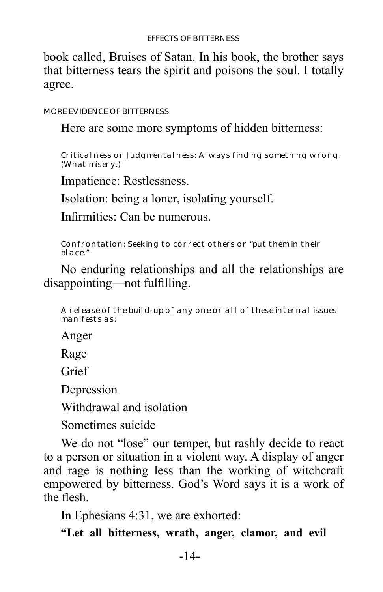<span id="page-17-0"></span>book called, Bruises of Satan. In his book, the brother says that bitterness tears the spirit and poisons the soul. I totally agree.

MORE EVIDENCE OF BITTERNESS

#### Here are some more symptoms of hidden bitterness:

Critical ness or Judgmental ness: Always finding something wrong. (What misery.)

Impatience: Restlessness.

Isolation: being a loner, isolating yourself.

Infirmities: Can be numerous.

Confrontation: Seeking to correct others or "put them in their place."

## No enduring relationships and all the relationships are disappointing—not fulfilling.

A release of the build-up of any one or all of these internal issues manifests as:

Anger

Rage

Grief

Depression

Withdrawal and isolation

Sometimes suicide

We do not "lose" our temper, but rashly decide to react to a person or situation in a violent way. A display of anger and rage is nothing less than the working of witchcraft empowered by bitterness. God's Word says it is a work of the flesh.

In Ephesians 4:31, we are exhorted:

**"Let all bitterness, wrath, anger, clamor, and evil**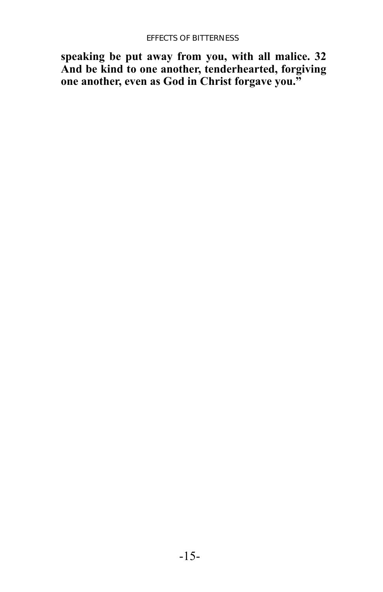**speaking be put away from you, with all malice. 32 And be kind to one another, tenderhearted, forgiving one another, even as God in Christ forgave you."**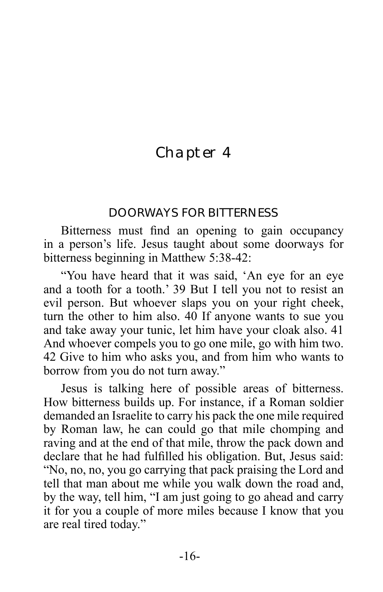## <span id="page-19-0"></span>Chapter 4

### DOORWAYS FOR BITTERNESS

Bitterness must find an opening to gain occupancy in a person's life. Jesus taught about some doorways for bitterness beginning in Matthew 5:38-42:

"You have heard that it was said, 'An eye for an eye and a tooth for a tooth.' 39 But I tell you not to resist an evil person. But whoever slaps you on your right cheek, turn the other to him also. 40 If anyone wants to sue you and take away your tunic, let him have your cloak also. 41 And whoever compels you to go one mile, go with him two. 42 Give to him who asks you, and from him who wants to borrow from you do not turn away."

Jesus is talking here of possible areas of bitterness. How bitterness builds up. For instance, if a Roman soldier demanded an Israelite to carry his pack the one mile required by Roman law, he can could go that mile chomping and raving and at the end of that mile, throw the pack down and declare that he had fulfilled his obligation. But, Jesus said: "No, no, no, you go carrying that pack praising the Lord and tell that man about me while you walk down the road and, by the way, tell him, "I am just going to go ahead and carry it for you a couple of more miles because I know that you are real tired today."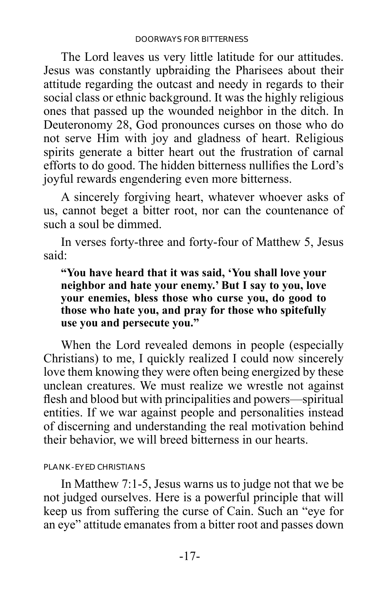<span id="page-20-0"></span>The Lord leaves us very little latitude for our attitudes. Jesus was constantly upbraiding the Pharisees about their attitude regarding the outcast and needy in regards to their social class or ethnic background. It was the highly religious ones that passed up the wounded neighbor in the ditch. In Deuteronomy 28, God pronounces curses on those who do not serve Him with joy and gladness of heart. Religious spirits generate a bitter heart out the frustration of carnal efforts to do good. The hidden bitterness nullifies the Lord's joyful rewards engendering even more bitterness.

A sincerely forgiving heart, whatever whoever asks of us, cannot beget a bitter root, nor can the countenance of such a soul be dimmed.

In verses forty-three and forty-four of Matthew 5, Jesus said:

**"You have heard that it was said, 'You shall love your neighbor and hate your enemy.' But I say to you, love your enemies, bless those who curse you, do good to those who hate you, and pray for those who spitefully use you and persecute you."**

When the Lord revealed demons in people (especially Christians) to me, I quickly realized I could now sincerely love them knowing they were often being energized by these unclean creatures. We must realize we wrestle not against flesh and blood but with principalities and powers—spiritual entities. If we war against people and personalities instead of discerning and understanding the real motivation behind their behavior, we will breed bitterness in our hearts.

PLANK-EYED CHRISTIANS

In Matthew 7:1-5, Jesus warns us to judge not that we be not judged ourselves. Here is a powerful principle that will keep us from suffering the curse of Cain. Such an "eye for an eye" attitude emanates from a bitter root and passes down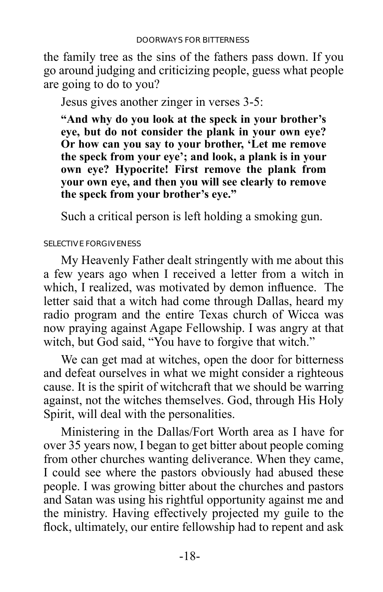<span id="page-21-0"></span>the family tree as the sins of the fathers pass down. If you go around judging and criticizing people, guess what people are going to do to you?

Jesus gives another zinger in verses 3-5:

**"And why do you look at the speck in your brother's eye, but do not consider the plank in your own eye? Or how can you say to your brother, 'Let me remove the speck from your eye'; and look, a plank is in your own eye? Hypocrite! First remove the plank from your own eye, and then you will see clearly to remove the speck from your brother's eye."**

Such a critical person is left holding a smoking gun.

#### SELECTIVE FORGIVENESS

My Heavenly Father dealt stringently with me about this a few years ago when I received a letter from a witch in which, I realized, was motivated by demon influence. The letter said that a witch had come through Dallas, heard my radio program and the entire Texas church of Wicca was now praying against Agape Fellowship. I was angry at that witch, but God said, "You have to forgive that witch."

We can get mad at witches, open the door for bitterness and defeat ourselves in what we might consider a righteous cause. It is the spirit of witchcraft that we should be warring against, not the witches themselves. God, through His Holy Spirit, will deal with the personalities.

Ministering in the Dallas/Fort Worth area as I have for over 35 years now, I began to get bitter about people coming from other churches wanting deliverance. When they came, I could see where the pastors obviously had abused these people. I was growing bitter about the churches and pastors and Satan was using his rightful opportunity against me and the ministry. Having effectively projected my guile to the flock, ultimately, our entire fellowship had to repent and ask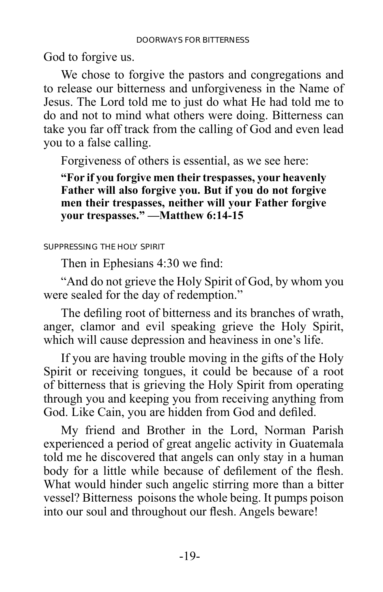<span id="page-22-0"></span>God to forgive us.

We chose to forgive the pastors and congregations and to release our bitterness and unforgiveness in the Name of Jesus. The Lord told me to just do what He had told me to do and not to mind what others were doing. Bitterness can take you far off track from the calling of God and even lead you to a false calling.

Forgiveness of others is essential, as we see here:

**"For if you forgive men their trespasses, your heavenly Father will also forgive you. But if you do not forgive men their trespasses, neither will your Father forgive your trespasses." —Matthew 6:14-15**

SUPPRESSING THE HOLY SPIRIT

Then in Ephesians 4:30 we find:

"And do not grieve the Holy Spirit of God, by whom you were sealed for the day of redemption."

The defiling root of bitterness and its branches of wrath, anger, clamor and evil speaking grieve the Holy Spirit, which will cause depression and heaviness in one's life.

If you are having trouble moving in the gifts of the Holy Spirit or receiving tongues, it could be because of a root of bitterness that is grieving the Holy Spirit from operating through you and keeping you from receiving anything from God. Like Cain, you are hidden from God and defiled.

My friend and Brother in the Lord, Norman Parish experienced a period of great angelic activity in Guatemala told me he discovered that angels can only stay in a human body for a little while because of defilement of the flesh. What would hinder such angelic stirring more than a bitter vessel? Bitterness poisons the whole being. It pumps poison into our soul and throughout our flesh. Angels beware!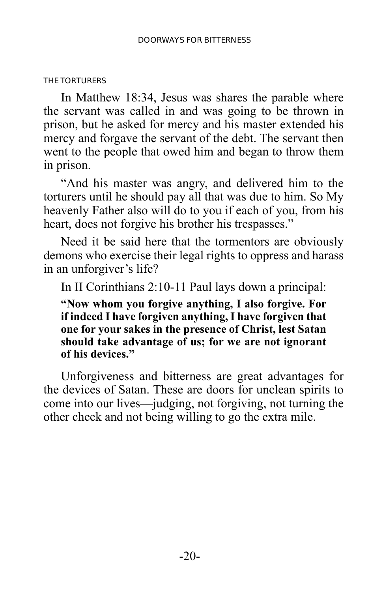#### <span id="page-23-0"></span>THE TORTURERS

In Matthew 18:34, Jesus was shares the parable where the servant was called in and was going to be thrown in prison, but he asked for mercy and his master extended his mercy and forgave the servant of the debt. The servant then went to the people that owed him and began to throw them in prison.

"And his master was angry, and delivered him to the torturers until he should pay all that was due to him. So My heavenly Father also will do to you if each of you, from his heart, does not forgive his brother his trespasses."

Need it be said here that the tormentors are obviously demons who exercise their legal rights to oppress and harass in an unforgiver's life?

In II Corinthians 2:10-11 Paul lays down a principal:

**"Now whom you forgive anything, I also forgive. For if indeed I have forgiven anything, I have forgiven that one for your sakes in the presence of Christ, lest Satan should take advantage of us; for we are not ignorant of his devices."**

Unforgiveness and bitterness are great advantages for the devices of Satan. These are doors for unclean spirits to come into our lives—judging, not forgiving, not turning the other cheek and not being willing to go the extra mile.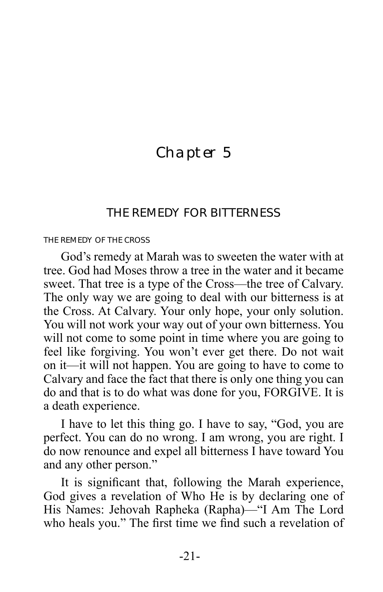## <span id="page-24-0"></span>Chapter 5

### THE REMEDY FOR BITTERNESS

#### THE REMEDY OF THE CROSS

God's remedy at Marah was to sweeten the water with at tree. God had Moses throw a tree in the water and it became sweet. That tree is a type of the Cross—the tree of Calvary. The only way we are going to deal with our bitterness is at the Cross. At Calvary. Your only hope, your only solution. You will not work your way out of your own bitterness. You will not come to some point in time where you are going to feel like forgiving. You won't ever get there. Do not wait on it—it will not happen. You are going to have to come to Calvary and face the fact that there is only one thing you can do and that is to do what was done for you, FORGIVE. It is a death experience.

I have to let this thing go. I have to say, "God, you are perfect. You can do no wrong. I am wrong, you are right. I do now renounce and expel all bitterness I have toward You and any other person."

It is significant that, following the Marah experience, God gives a revelation of Who He is by declaring one of His Names: Jehovah Rapheka (Rapha)—"I Am The Lord who heals you." The first time we find such a revelation of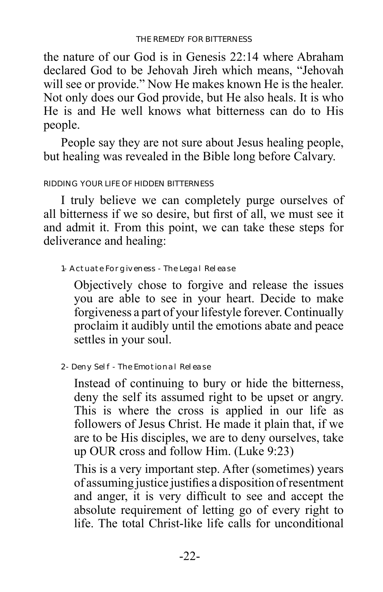<span id="page-25-0"></span>the nature of our God is in Genesis 22:14 where Abraham declared God to be Jehovah Jireh which means, "Jehovah will see or provide." Now He makes known He is the healer. Not only does our God provide, but He also heals. It is who He is and He well knows what bitterness can do to His people.

People say they are not sure about Jesus healing people, but healing was revealed in the Bible long before Calvary.

#### RIDDING YOUR LIFE OF HIDDEN BITTERNESS

I truly believe we can completely purge ourselves of all bitterness if we so desire, but first of all, we must see it and admit it. From this point, we can take these steps for deliverance and healing:

1- Actuate Forgiveness - The Legal Release

Objectively chose to forgive and release the issues you are able to see in your heart. Decide to make forgiveness a part of your lifestyle forever. Continually proclaim it audibly until the emotions abate and peace settles in your soul.

2- Deny Self - The Emotional Release

Instead of continuing to bury or hide the bitterness, deny the self its assumed right to be upset or angry. This is where the cross is applied in our life as followers of Jesus Christ. He made it plain that, if we are to be His disciples, we are to deny ourselves, take up OUR cross and follow Him. (Luke 9:23)

This is a very important step. After (sometimes) years of assuming justice justifies a disposition of resentment and anger, it is very difficult to see and accept the absolute requirement of letting go of every right to life. The total Christ-like life calls for unconditional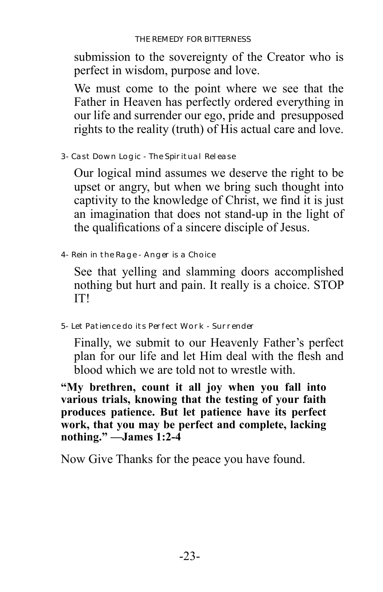submission to the sovereignty of the Creator who is perfect in wisdom, purpose and love.

We must come to the point where we see that the Father in Heaven has perfectly ordered everything in our life and surrender our ego, pride and presupposed rights to the reality (truth) of His actual care and love.

3- Cast Down Logic - The Spiritual Release

Our logical mind assumes we deserve the right to be upset or angry, but when we bring such thought into captivity to the knowledge of Christ, we find it is just an imagination that does not stand-up in the light of the qualifications of a sincere disciple of Jesus.

4- Rein in the Rage - Anger is a Choice

See that yelling and slamming doors accomplished nothing but hurt and pain. It really is a choice. STOP IT!

5- Let Patience do its Perfect Work - Surrender

Finally, we submit to our Heavenly Father's perfect plan for our life and let Him deal with the flesh and blood which we are told not to wrestle with.

**"My brethren, count it all joy when you fall into various trials, knowing that the testing of your faith produces patience. But let patience have its perfect work, that you may be perfect and complete, lacking nothing." —James 1:2-4**

Now Give Thanks for the peace you have found.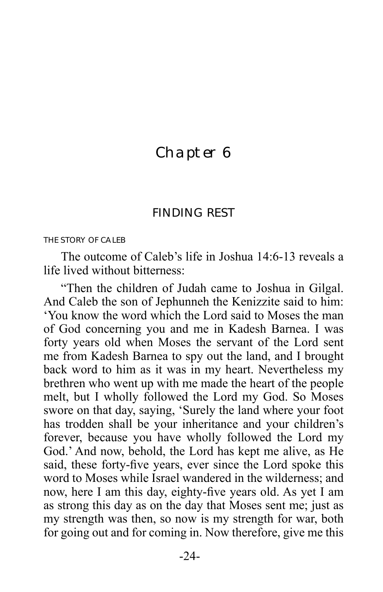## <span id="page-27-0"></span>Chapter 6

#### FINDING REST

#### THE STORY OF CALEB

The outcome of Caleb's life in Joshua 14:6-13 reveals a life lived without bitterness:

"Then the children of Judah came to Joshua in Gilgal. And Caleb the son of Jephunneh the Kenizzite said to him: 'You know the word which the Lord said to Moses the man of God concerning you and me in Kadesh Barnea. I was forty years old when Moses the servant of the Lord sent me from Kadesh Barnea to spy out the land, and I brought back word to him as it was in my heart. Nevertheless my brethren who went up with me made the heart of the people melt, but I wholly followed the Lord my God. So Moses swore on that day, saying, 'Surely the land where your foot has trodden shall be your inheritance and your children's forever, because you have wholly followed the Lord my God.' And now, behold, the Lord has kept me alive, as He said, these forty-five years, ever since the Lord spoke this word to Moses while Israel wandered in the wilderness; and now, here I am this day, eighty-five years old. As yet I am as strong this day as on the day that Moses sent me; just as my strength was then, so now is my strength for war, both for going out and for coming in. Now therefore, give me this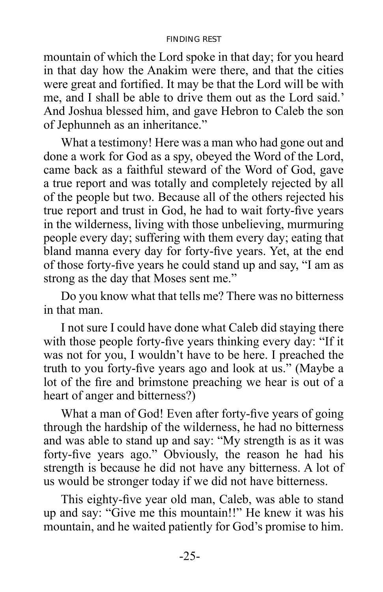#### FINDING REST

mountain of which the Lord spoke in that day; for you heard in that day how the Anakim were there, and that the cities were great and fortified. It may be that the Lord will be with me, and I shall be able to drive them out as the Lord said.' And Joshua blessed him, and gave Hebron to Caleb the son of Jephunneh as an inheritance."

What a testimony! Here was a man who had gone out and done a work for God as a spy, obeyed the Word of the Lord, came back as a faithful steward of the Word of God, gave a true report and was totally and completely rejected by all of the people but two. Because all of the others rejected his true report and trust in God, he had to wait forty-five years in the wilderness, living with those unbelieving, murmuring people every day; suffering with them every day; eating that bland manna every day for forty-five years. Yet, at the end of those forty-five years he could stand up and say, "I am as strong as the day that Moses sent me."

Do you know what that tells me? There was no bitterness in that man.

I not sure I could have done what Caleb did staying there with those people forty-five years thinking every day: "If it was not for you, I wouldn't have to be here. I preached the truth to you forty-five years ago and look at us." (Maybe a lot of the fire and brimstone preaching we hear is out of a heart of anger and bitterness?

What a man of God! Even after forty-five years of going through the hardship of the wilderness, he had no bitterness and was able to stand up and say: "My strength is as it was forty-five years ago." Obviously, the reason he had his strength is because he did not have any bitterness. A lot of us would be stronger today if we did not have bitterness.

This eighty-five year old man, Caleb, was able to stand up and say: "Give me this mountain!!" He knew it was his mountain, and he waited patiently for God's promise to him.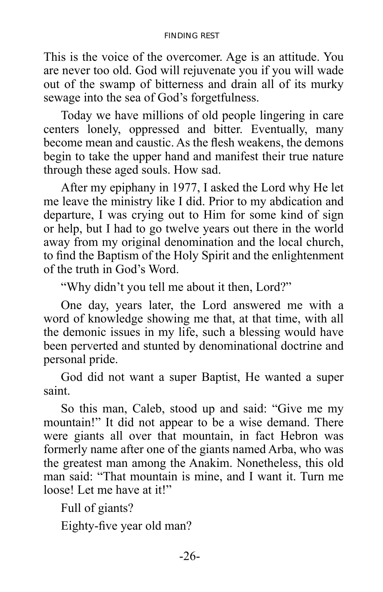#### FINDING REST

This is the voice of the overcomer. Age is an attitude. You are never too old. God will rejuvenate you if you will wade out of the swamp of bitterness and drain all of its murky sewage into the sea of God's forgetfulness.

Today we have millions of old people lingering in care centers lonely, oppressed and bitter. Eventually, many become mean and caustic. As the flesh weakens, the demons begin to take the upper hand and manifest their true nature through these aged souls. How sad.

After my epiphany in 1977, I asked the Lord why He let me leave the ministry like I did. Prior to my abdication and departure, I was crying out to Him for some kind of sign or help, but I had to go twelve years out there in the world away from my original denomination and the local church, to find the Baptism of the Holy Spirit and the enlightenment of the truth in God's Word.

"Why didn't you tell me about it then, Lord?"

One day, years later, the Lord answered me with a word of knowledge showing me that, at that time, with all the demonic issues in my life, such a blessing would have been perverted and stunted by denominational doctrine and personal pride.

God did not want a super Baptist, He wanted a super saint.

So this man, Caleb, stood up and said: "Give me my mountain!" It did not appear to be a wise demand. There were giants all over that mountain, in fact Hebron was formerly name after one of the giants named Arba, who was the greatest man among the Anakim. Nonetheless, this old man said: "That mountain is mine, and I want it. Turn me loose! Let me have at it!"

Full of giants? Eighty-five year old man?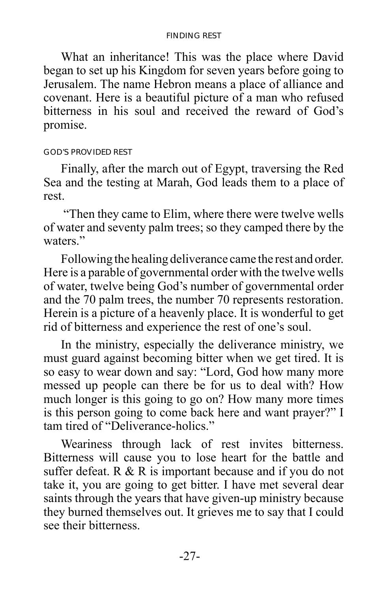#### FINDING REST

<span id="page-30-0"></span>What an inheritance! This was the place where David began to set up his Kingdom for seven years before going to Jerusalem. The name Hebron means a place of alliance and covenant. Here is a beautiful picture of a man who refused bitterness in his soul and received the reward of God's promise.

#### GOD'S PROVIDED REST

Finally, after the march out of Egypt, traversing the Red Sea and the testing at Marah, God leads them to a place of rest.

 "Then they came to Elim, where there were twelve wells of water and seventy palm trees; so they camped there by the waters<sup>"</sup>

Following the healing deliverance came the rest and order. Here is a parable of governmental order with the twelve wells of water, twelve being God's number of governmental order and the 70 palm trees, the number 70 represents restoration. Herein is a picture of a heavenly place. It is wonderful to get rid of bitterness and experience the rest of one's soul.

In the ministry, especially the deliverance ministry, we must guard against becoming bitter when we get tired. It is so easy to wear down and say: "Lord, God how many more messed up people can there be for us to deal with? How much longer is this going to go on? How many more times is this person going to come back here and want prayer?" I tam tired of "Deliverance-holics."

Weariness through lack of rest invites bitterness. Bitterness will cause you to lose heart for the battle and suffer defeat. R & R is important because and if you do not take it, you are going to get bitter. I have met several dear saints through the years that have given-up ministry because they burned themselves out. It grieves me to say that I could see their bitterness.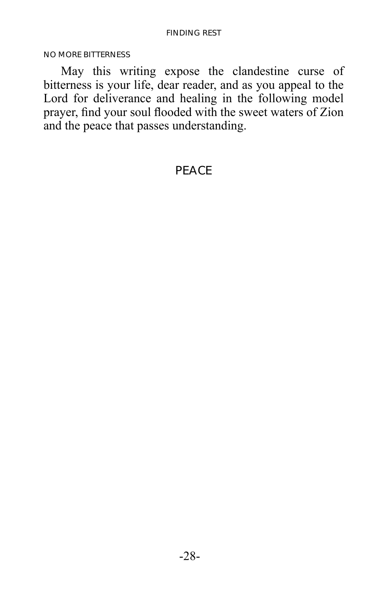<span id="page-31-0"></span>NO MORE BITTERNESS

May this writing expose the clandestine curse of bitterness is your life, dear reader, and as you appeal to the Lord for deliverance and healing in the following model prayer, find your soul flooded with the sweet waters of Zion and the peace that passes understanding.

### PEACE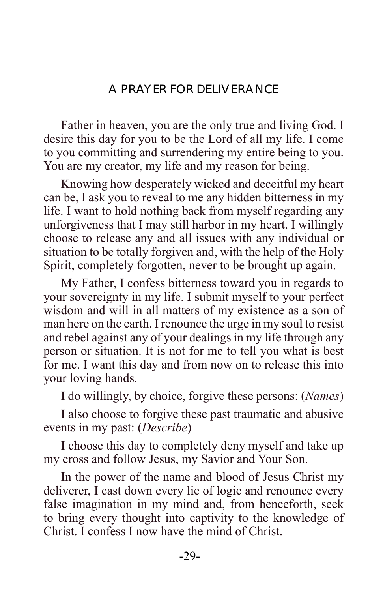## A PRAYER FOR DELIVERANCE

<span id="page-32-0"></span>Father in heaven, you are the only true and living God. I desire this day for you to be the Lord of all my life. I come to you committing and surrendering my entire being to you. You are my creator, my life and my reason for being.

Knowing how desperately wicked and deceitful my heart can be, I ask you to reveal to me any hidden bitterness in my life. I want to hold nothing back from myself regarding any unforgiveness that I may still harbor in my heart. I willingly choose to release any and all issues with any individual or situation to be totally forgiven and, with the help of the Holy Spirit, completely forgotten, never to be brought up again.

My Father, I confess bitterness toward you in regards to your sovereignty in my life. I submit myself to your perfect wisdom and will in all matters of my existence as a son of man here on the earth. I renounce the urge in my soul to resist and rebel against any of your dealings in my life through any person or situation. It is not for me to tell you what is best for me. I want this day and from now on to release this into your loving hands.

I do willingly, by choice, forgive these persons: (*Names*)

I also choose to forgive these past traumatic and abusive events in my past: (*Describe*)

I choose this day to completely deny myself and take up my cross and follow Jesus, my Savior and Your Son.

In the power of the name and blood of Jesus Christ my deliverer, I cast down every lie of logic and renounce every false imagination in my mind and, from henceforth, seek to bring every thought into captivity to the knowledge of Christ. I confess I now have the mind of Christ.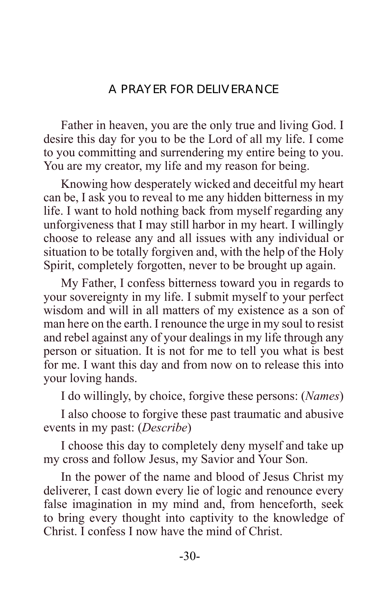## A PRAYER FOR DELIVERANCE

Father in heaven, you are the only true and living God. I desire this day for you to be the Lord of all my life. I come to you committing and surrendering my entire being to you. You are my creator, my life and my reason for being.

Knowing how desperately wicked and deceitful my heart can be, I ask you to reveal to me any hidden bitterness in my life. I want to hold nothing back from myself regarding any unforgiveness that I may still harbor in my heart. I willingly choose to release any and all issues with any individual or situation to be totally forgiven and, with the help of the Holy Spirit, completely forgotten, never to be brought up again.

My Father, I confess bitterness toward you in regards to your sovereignty in my life. I submit myself to your perfect wisdom and will in all matters of my existence as a son of man here on the earth. I renounce the urge in my soul to resist and rebel against any of your dealings in my life through any person or situation. It is not for me to tell you what is best for me. I want this day and from now on to release this into your loving hands.

I do willingly, by choice, forgive these persons: (*Names*)

I also choose to forgive these past traumatic and abusive events in my past: (*Describe*)

I choose this day to completely deny myself and take up my cross and follow Jesus, my Savior and Your Son.

In the power of the name and blood of Jesus Christ my deliverer, I cast down every lie of logic and renounce every false imagination in my mind and, from henceforth, seek to bring every thought into captivity to the knowledge of Christ. I confess I now have the mind of Christ.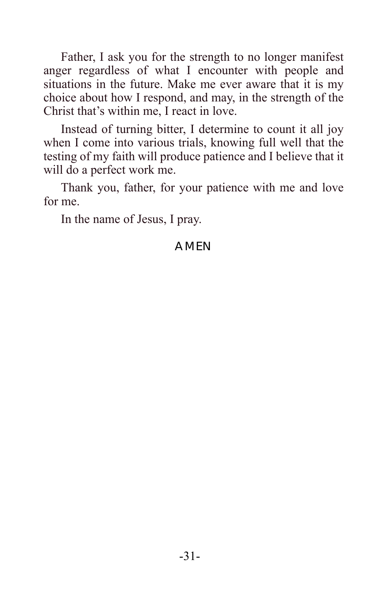Father, I ask you for the strength to no longer manifest anger regardless of what I encounter with people and situations in the future. Make me ever aware that it is my choice about how I respond, and may, in the strength of the Christ that's within me, I react in love.

Instead of turning bitter, I determine to count it all joy when I come into various trials, knowing full well that the testing of my faith will produce patience and I believe that it will do a perfect work me.

Thank you, father, for your patience with me and love for me.

In the name of Jesus, I pray.

## AMEN